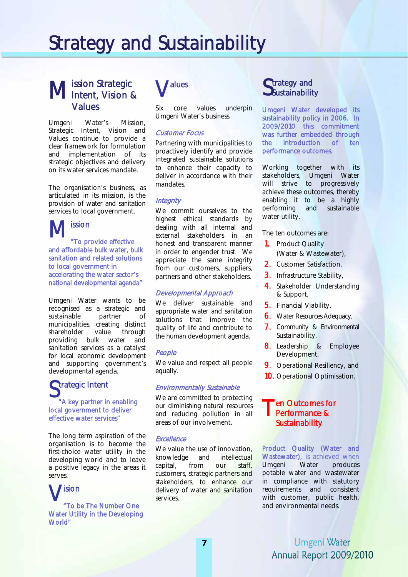# Strategy and Sustainability

# ission Strategic **M** ission Strategic<br>M Intent, Vision & Values

Umgeni Water's Mission, Strategic Intent, Vision and Values continue to provide a clear framework for formulation and implementation of its strategic objectives and delivery on its water services mandate.

The organisation's business, as articulated in its mission, is the provision of water and sanitation services to local government.

ission "To provide effective and affordable bulk water, bulk sanitation and related solutions to local government in accelerating the water sector's national developmental agenda"  $M_{\textrm{H}}^{\textrm{iss}}$ 

Umgeni Water wants to be recognised as a strategic and sustainable partner of municipalities, creating distinct shareholder value through providing bulk water and sanitation services as a catalyst for local economic development and supporting government's developmental agenda.

# Strategic Intent "A key partner in enabling local government to deliver

effective water services" The long term aspiration of the organisation is to become the first-choice water utility in the developing world and to leave

a positive legacy in the areas it serves.  $\bigvee_{a\text{To be}}$ "To be The Number One Water Utility in the Developing World"



Six core values underpin Umgeni Water's business.

#### Customer Focus

Partnering with municipalities to proactively identify and provide integrated sustainable solutions to enhance their capacity to deliver in accordance with their mandates.

#### **Integrity**

We commit ourselves to the highest ethical standards by dealing with all internal and external stakeholders in an honest and transparent manner in order to engender trust. We appreciate the same integrity from our customers, suppliers, partners and other stakeholders.

#### Developmental Approach

We deliver sustainable and appropriate water and sanitation solutions that improve the quality of life and contribute to the human development agenda.

#### People

We value and respect all people equally.

#### Environmentally Sustainable

We are committed to protecting our diminishing natural resources and reducing pollution in all areas of our involvement.

#### **Excellence**

We value the use of innovation, knowledge and intellectual capital, from our staff, customers, strategic partners and stakeholders, to enhance our delivery of water and sanitation services.

### **C**trategy and  $\mathbf{\mathcal{S}}$ ustainability

Umgeni Water developed its sustainability policy in 2006. In 2009/2010 this commitment was further embedded through the introduction of ten performance outcomes.

Working together with its stakeholders, Umgeni Water will strive to progressively achieve these outcomes, thereby enabling it to be a highly performing and sustainable water utility.

The ten outcomes are:

- 1. Product Quality (Water & Wastewater),
- 2. Customer Satisfaction,
- 3. Infrastructure Stability,
- 4. Stakeholder Understanding & Support,
- 5. Financial Viability,
- 6. Water Resources Adequacy,
- 7. Community & Environmental Sustainability,
- 8. Leadership & Employee Development,
- 9. Operational Resiliency, and
- 10. Operational Optimisation.

## Ten Outcomes for<br>Performance & Performance & **Sustainability**

Product Quality (Water and Wastewater), is achieved when Umgeni Water produces potable water and wastewater in compliance with statutory requirements and consistent with customer, public health, and environmental needs.

Umgeni Water Annual Report 2009/2010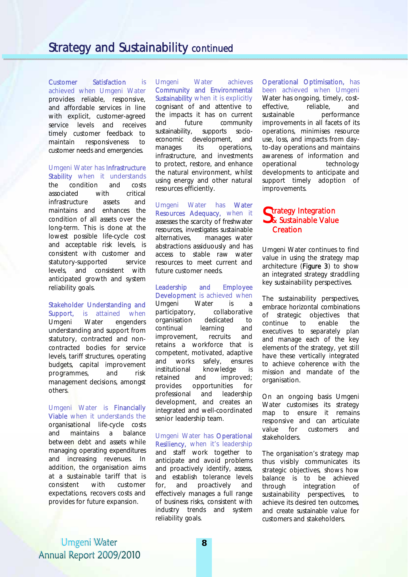Customer Satisfaction is achieved when Umgeni Water provides reliable, responsive, and affordable services in line with explicit, customer-agreed service levels and receives timely customer feedback to maintain responsiveness to customer needs and emergencies.

Umgeni Water has Infrastructure Stability when it understands

the condition and costs associated with critical infrastructure assets and maintains and enhances the condition of all assets over the long-term. This is done at the lowest possible life-cycle cost and acceptable risk levels, is consistent with customer and statutory-supported service levels, and consistent with anticipated growth and system reliability goals.

Stakeholder Understanding and Support, is attained when Umgeni Water engenders understanding and support from statutory, contracted and noncontracted bodies for service levels, tariff structures, operating budgets, capital improvement programmes, and risk management decisions, amongst others.

Umgeni Water is Financially Viable when it understands the organisational life-cycle costs and maintains a balance between debt and assets while managing operating expenditures and increasing revenues. In addition, the organisation aims at a sustainable tariff that is consistent with customer expectations, recovers costs and provides for future expansion.

Umgeni Water achieves Community and Environmental Sustainability when it is explicitly cognisant of and attentive to the impacts it has on current and future community sustainability, supports socioeconomic development, and manages its operations, infrastructure, and investments to protect, restore, and enhance the natural environment, whilst using energy and other natural resources efficiently.

Umgeni Water has Water Resources Adequacy, when it assesses the scarcity of freshwater resources, investigates sustainable alternatives, manages water abstractions assiduously and has access to stable raw water resources to meet current and future customer needs.

#### Leadership and Employee Development is achieved when

Umgeni Water is a participatory, collaborative organisation dedicated to continual learning and improvement, recruits and retains a workforce that is competent, motivated, adaptive and works safely, ensures institutional knowledge is retained and improved; provides opportunities for professional and leadership development, and creates an integrated and well-coordinated senior leadership team.

## Umgeni Water has Operational Resiliency, when it's leadership

and staff work together to anticipate and avoid problems and proactively identify, assess, and establish tolerance levels for, and proactively and effectively manages a full range of business risks, consistent with industry trends and system reliability goals.

Operational Optimisation, has been achieved when Umgeni Water has ongoing, timely, costeffective, reliable, and sustainable performance improvements in all facets of its operations, minimises resource use, loss, and impacts from dayto-day operations and maintains awareness of information and operational technology developments to anticipate and support timely adoption of improvements.

### **C**trategy Integration Strategy Integration<br>S& Sustainable Value **Creation**

Umgeni Water continues to find value in using the strategy map architecture (Figure 3) to show an integrated strategy straddling key sustainability perspectives.

The sustainability perspectives, embrace horizontal combinations of strategic objectives that continue to enable the executives to separately plan and manage each of the key elements of the strategy, yet still have these vertically integrated to achieve coherence with the mission and mandate of the organisation.

On an ongoing basis Umgeni Water customises its strategy map to ensure it remains responsive and can articulate value for customers and stakeholders.

The organisation's strategy map thus visibly communicates its strategic objectives, shows how balance is to be achieved through integration of sustainability perspectives, to achieve its desired ten outcomes, and create sustainable value for customers and stakeholders.

Umgeni Water Annual Report 2009/2010